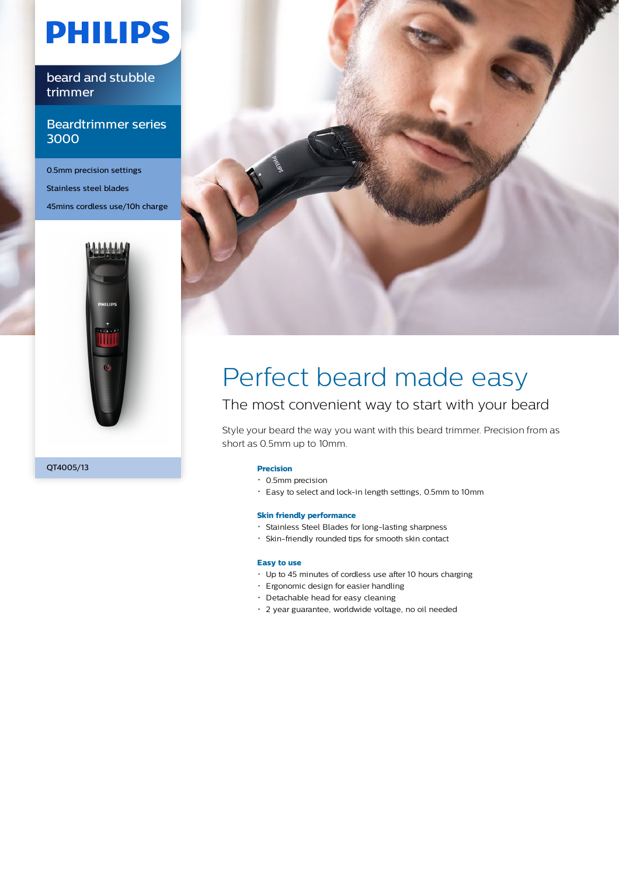# **PHILIPS**

beard and stubble trimmer

Beardtrimmer series 3000

0.5mm precision settings Stainless steel blades 45mins cordless use/10h charge



QT4005/13



## Perfect beard made easy

### The most convenient way to start with your beard

Style your beard the way you want with this beard trimmer. Precision from as short as 0.5mm up to 10mm.

#### **Precision**

- 0.5mm precision
- Easy to select and lock-in length settings, 0.5mm to 10mm

#### **Skin friendly performance**

- Stainless Steel Blades for long-lasting sharpness
- Skin-friendly rounded tips for smooth skin contact

#### **Easy to use**

- Up to 45 minutes of cordless use after 10 hours charging
- Ergonomic design for easier handling
- Detachable head for easy cleaning
- 2 year guarantee, worldwide voltage, no oil needed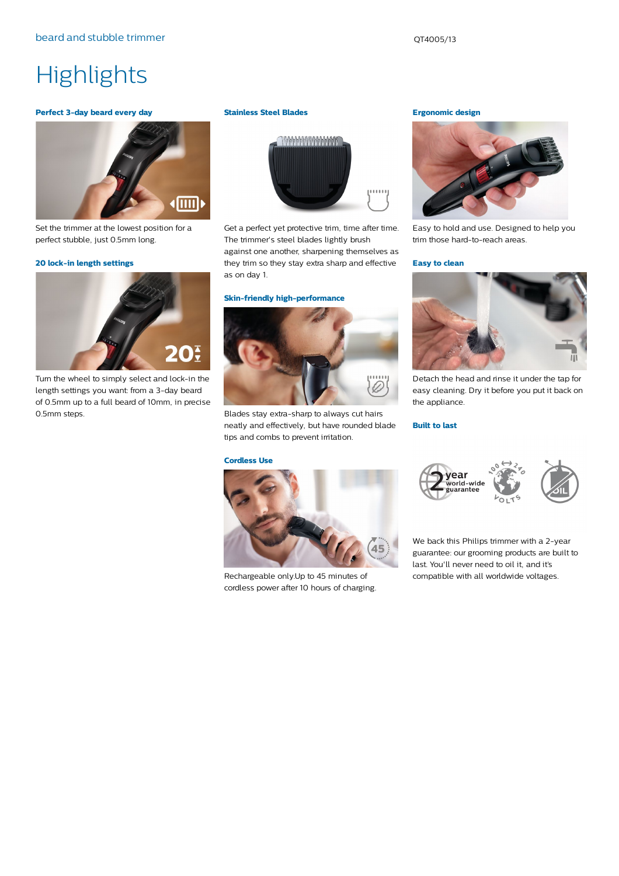### **Highlights**

#### **Perfect 3-day beard every day**



Set the trimmer at the lowest position for a perfect stubble, just 0.5mm long.

#### **20 lock-in length settings**



Turn the wheel to simply select and lock-in the length settings you want: from a 3-day beard of 0.5mm up to a full beard of 10mm, in precise 0.5mm steps.

#### **Stainless Steel Blades**



Get a perfect yet protective trim, time after time. The trimmer's steel blades lightly brush against one another, sharpening themselves as they trim so they stay extra sharp and effective as on day 1.

#### **Skin-friendly high-performance**



Blades stay extra-sharp to always cut hairs neatly and effectively, but have rounded blade tips and combs to prevent irritation.

#### **Cordless Use**



Rechargeable only.Up to 45 minutes of cordless power after 10 hours of charging.

#### **Ergonomic design**



Easy to hold and use. Designed to help you trim those hard-to-reach areas.

#### **Easy to clean**



Detach the head and rinse it under the tap for easy cleaning. Dry it before you put it back on the appliance.

#### **Built to last**



We back this Philips trimmer with a 2-year guarantee: our grooming products are built to last. You'll never need to oil it, and it's compatible with all worldwide voltages.